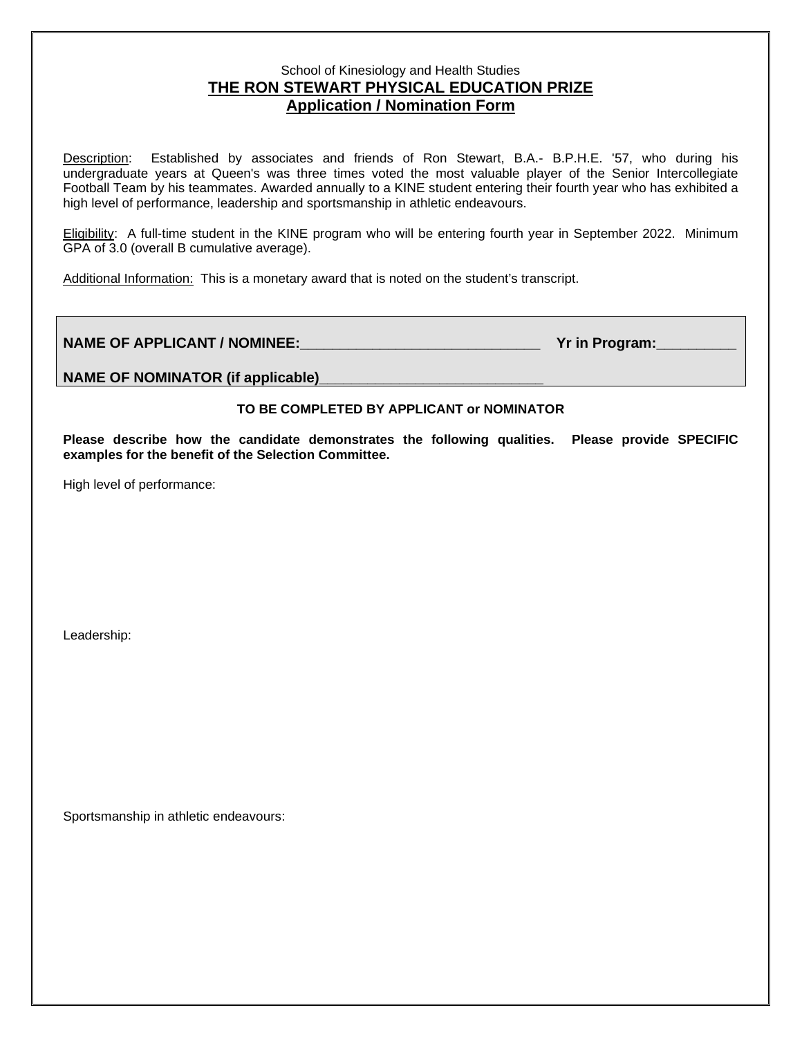## School of Kinesiology and Health Studies **THE RON STEWART PHYSICAL EDUCATION PRIZE Application / Nomination Form**

Description: Established by associates and friends of Ron Stewart, B.A.- B.P.H.E. '57, who during his undergraduate years at Queen's was three times voted the most valuable player of the Senior Intercollegiate Football Team by his teammates. Awarded annually to a KINE student entering their fourth year who has exhibited a high level of performance, leadership and sportsmanship in athletic endeavours.

Eligibility: A full-time student in the KINE program who will be entering fourth year in September 2022. Minimum GPA of 3.0 (overall B cumulative average).

Additional Information: This is a monetary award that is noted on the student's transcript.

## **NAME OF APPLICANT / NOMINEE:\_\_\_\_\_\_\_\_\_\_\_\_\_\_\_\_\_\_\_\_\_\_\_\_\_\_\_\_\_\_ Yr in Program:\_\_\_\_\_\_\_\_\_\_**

**NAME OF NOMINATOR (if applicable)\_\_\_\_\_\_\_\_\_\_\_\_\_\_\_\_\_\_\_\_\_\_\_\_\_\_\_\_**

## **TO BE COMPLETED BY APPLICANT or NOMINATOR**

**Please describe how the candidate demonstrates the following qualities. Please provide SPECIFIC examples for the benefit of the Selection Committee.**

High level of performance:

Leadership:

Sportsmanship in athletic endeavours: